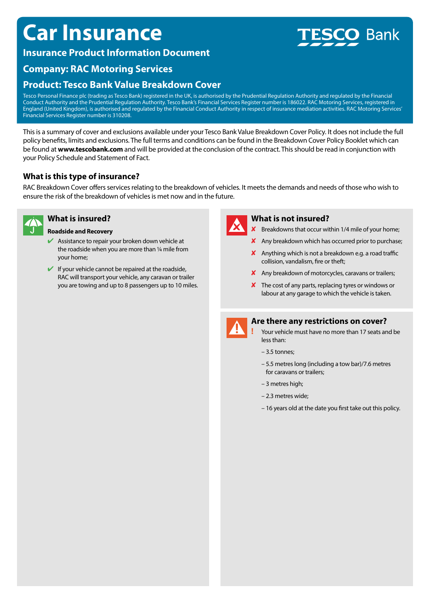## **Car Insurance**

## **Insurance Product Information Document**

# **Bank**

## **Company: RAC Motoring Services**

## **Product: Tesco Bank Value Breakdown Cover**

Tesco Personal Finance plc (trading as Tesco Bank) registered in the UK, is authorised by the Prudential Regulation Authority and regulated by the Financial Conduct Authority and the Prudential Regulation Authority. Tesco Bank's Financial Services Register number is 186022. RAC Motoring Services, registered in England (United Kingdom), is authorised and regulated by the Financial Conduct Authority in respect of insurance mediation activities. RAC Motoring Services' Financial Services Register number is 310208.

This is a summary of cover and exclusions available under your Tesco Bank Value Breakdown Cover Policy. It does not include the full policy benefits, limits and exclusions. The full terms and conditions can be found in the Breakdown Cover Policy Booklet which can be found at **www.tescobank.com** and will be provided at the conclusion of the contract. This should be read in conjunction with your Policy Schedule and Statement of Fact.

#### **What is this type of insurance?**

RAC Breakdown Cover offers services relating to the breakdown of vehicles. It meets the demands and needs of those who wish to ensure the risk of the breakdown of vehicles is met now and in the future.



#### **What is insured?**

#### **Roadside and Recovery**

- $\blacktriangleright$  Assistance to repair your broken down vehicle at the roadside when you are more than ¼ mile from your home;
- $\blacktriangleright$  If your vehicle cannot be repaired at the roadside, RAC will transport your vehicle, any caravan or trailer you are towing and up to 8 passengers up to 10 miles.



#### **What is not insured?**

- $\boldsymbol{X}$  Breakdowns that occur within 1/4 mile of your home;
- $\boldsymbol{\times}$  Any breakdown which has occurred prior to purchase;
- $\boldsymbol{\mathsf{X}}$  Anything which is not a breakdown e.g. a road traffic collision, vandalism, fire or theft;
- $\boldsymbol{\mathsf{X}}$  Any breakdown of motorcycles, caravans or trailers;
- $\boldsymbol{\times}$  The cost of any parts, replacing tyres or windows or labour at any garage to which the vehicle is taken.



#### **Are there any restrictions on cover?**

- **!** Your vehicle must have no more than 17 seats and be less than:
- 3.5 tonnes;
- 5.5 metres long (including a tow bar)/7.6 metres for caravans or trailers;
- 3 metres high;
- 2.3 metres wide;
- 16 years old at the date you first take out this policy.